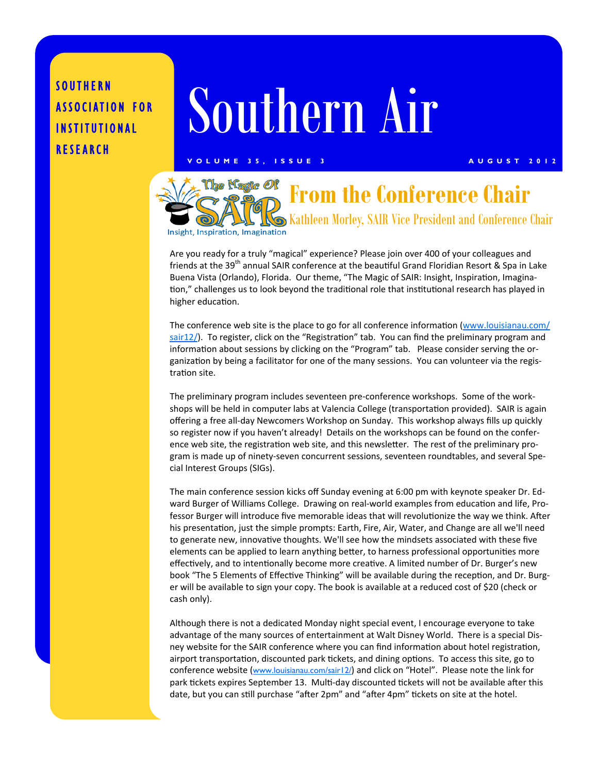### SOUTHERN ASSOCIATION FOR INSTITUTIONAL RESEARCH

# Southern Air

#### **VOLUME 35, ISSUE 3 AUGUST 2012**



Are you ready for a truly "magical" experience? Please join over 400 of your colleagues and friends at the 39<sup>th</sup> annual SAIR conference at the beautiful Grand Floridian Resort & Spa in Lake Buena Vista (Orlando), Florida. Our theme, "The Magic of SAIR: Insight, Inspiration, Imagination," challenges us to look beyond the traditional role that institutional research has played in higher education.

The conference web site is the place to go for all conference information (www.louisianau.com/ sair12/). To register, click on the "Registration" tab. You can find the preliminary program and information about sessions by clicking on the "Program" tab. Please consider serving the organization by being a facilitator for one of the many sessions. You can volunteer via the registration site.

The preliminary program includes seventeen pre-conference workshops. Some of the workshops will be held in computer labs at Valencia College (transportation provided). SAIR is again offering a free all-day Newcomers Workshop on Sunday. This workshop always fills up quickly so register now if you haven't already! Details on the workshops can be found on the conference web site, the registration web site, and this newsletter. The rest of the preliminary program is made up of ninety-seven concurrent sessions, seventeen roundtables, and several Special Interest Groups (SIGs).

The main conference session kicks off Sunday evening at 6:00 pm with keynote speaker Dr. Edward Burger of Williams College. Drawing on real-world examples from education and life, Professor Burger will introduce five memorable ideas that will revolutionize the way we think. After his presentation, just the simple prompts: Earth, Fire, Air, Water, and Change are all we'll need to generate new, innovative thoughts. We'll see how the mindsets associated with these five elements can be applied to learn anything better, to harness professional opportunities more effectively, and to intentionally become more creative. A limited number of Dr. Burger's new book "The 5 Elements of Effective Thinking" will be available during the reception, and Dr. Burger will be available to sign your copy. The book is available at a reduced cost of \$20 (check or cash only).

Although there is not a dedicated Monday night special event, I encourage everyone to take advantage of the many sources of entertainment at Walt Disney World. There is a special Disney website for the SAIR conference where you can find information about hotel registration, airport transportation, discounted park tickets, and dining options. To access this site, go to conference website (www.louisianau.com/sair12/) and click on "Hotel". Please note the link for park tickets expires September 13. Multi-day discounted tickets will not be available after this date, but you can still purchase "after 2pm" and "after 4pm" tickets on site at the hotel.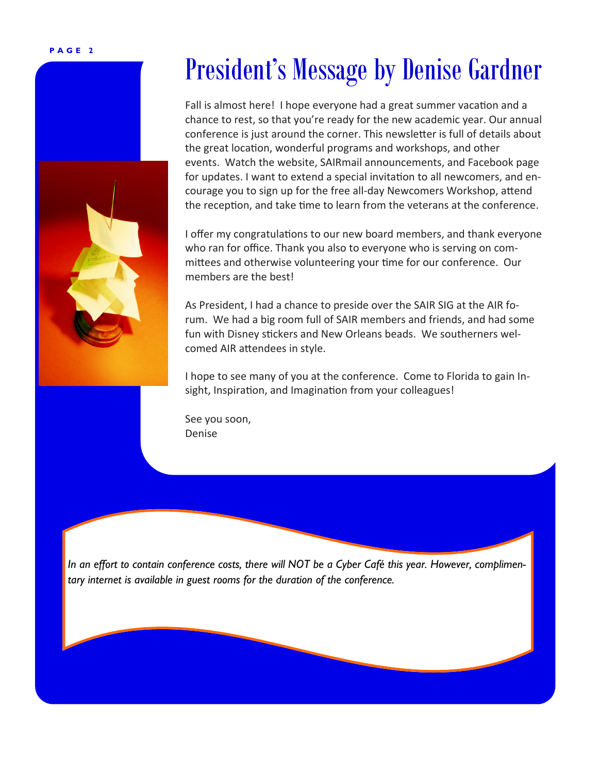**PAGE 2** 

## President's Message by Denise Gardner

Fall is almost here! I hope everyone had a great summer vacation and a chance to rest, so that you're ready for the new academic year. Our annual conference is just around the corner. This newsletter is full of details about the great location, wonderful programs and workshops, and other events. Watch the website, SAIRmail announcements, and Facebook page for updates. I want to extend a special invitation to all newcomers, and encourage you to sign up for the free all-day Newcomers Workshop, attend the reception, and take time to learn from the veterans at the conference.

I offer my congratulations to our new board members, and thank everyone who ran for office. Thank you also to everyone who is serving on committees and otherwise volunteering your time for our conference. Our members are the best!

As President, I had a chance to preside over the SAIR SIG at the AIR forum. We had a big room full of SAIR members and friends, and had some fun with Disney stickers and New Orleans beads. We southerners welcomed AIR attendees in style.

I hope to see many of you at the conference. Come to Florida to gain Insight, Inspiration, and Imagination from your colleagues!

See you soon, Denise

*In an effort to contain conference costs, there will NOT be a Cyber Café this year. However, complimentary internet is available in guest rooms for the duration of the conference.*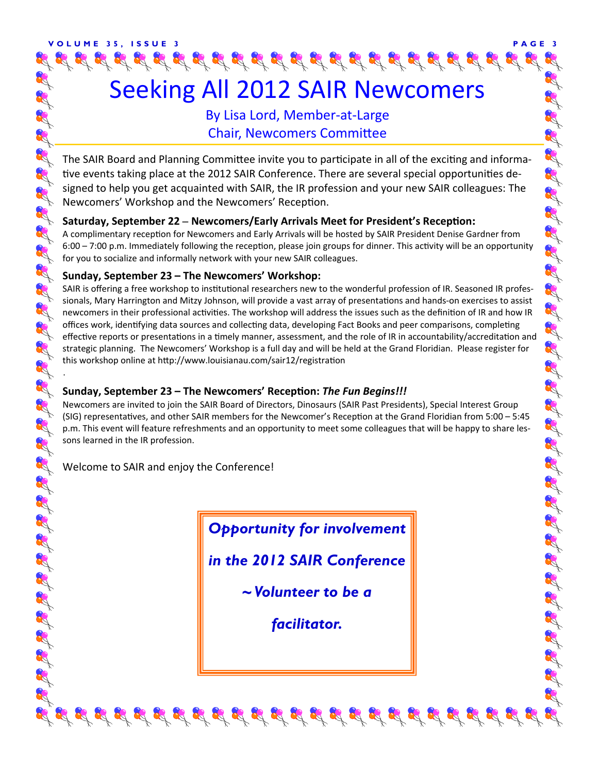### By Lisa Lord, Member-at-Large **Chair, Newcomers Committee**

The SAIR Board and Planning Committee invite you to participate in all of the exciting and informative events taking place at the 2012 SAIR Conference. There are several special opportunities designed to help you get acquainted with SAIR, the IR profession and your new SAIR colleagues: The Newcomers' Workshop and the Newcomers' Reception.

#### **Saturday, September 22 – Newcomers/Early Arrivals Meet for President's Reception:**

A complimentary reception for Newcomers and Early Arrivals will be hosted by SAIR President Denise Gardner from 6:00 – 7:00 p.m. Immediately following the reception, please join groups for dinner. This activity will be an opportunity for you to socialize and informally network with your new SAIR colleagues.

#### **Sunday, September 23 – The Newcomers' Workshop:**

SAIR is offering a free workshop to institutional researchers new to the wonderful profession of IR. Seasoned IR professionals, Mary Harrington and Mitzy Johnson, will provide a vast array of presentations and hands-on exercises to assist newcomers in their professional activities. The workshop will address the issues such as the definition of IR and how IR offices work, identifying data sources and collecting data, developing Fact Books and peer comparisons, completing effective reports or presentations in a timely manner, assessment, and the role of IR in accountability/accreditation and strategic planning. The Newcomers' Workshop is a full day and will be held at the Grand Floridian. Please register for this workshop online at http://www.louisianau.com/sair12/registration

#### **Sunday, September 23 – The Newcomers' RecepƟon:** *The Fun Begins!!!*

Newcomers are invited to join the SAIR Board of Directors, Dinosaurs (SAIR Past Presidents), Special Interest Group (SIG) representatives, and other SAIR members for the Newcomer's Reception at the Grand Floridian from 5:00 – 5:45 p.m. This event will feature refreshments and an opportunity to meet some colleagues that will be happy to share lessons learned in the IR profession.

I COUNTY OF THE SOUTH OF THE SOUTH OF THE SOUTH OF THE SOUTH OF THE SOUTH OF THE SOUTH OF THE SOUTH OF THE SOU

Welcome to SAIR and enjoy the Conference!

.

R R R

R

3

33

RX R 8

83

8

R

R R

R

R.R.

A SA SA SA SA SA SA SA SA

*Opportunity for involvement* 

*in the 2012 SAIR Conference* 

*~ Volunteer to be a* 

*facilitator.*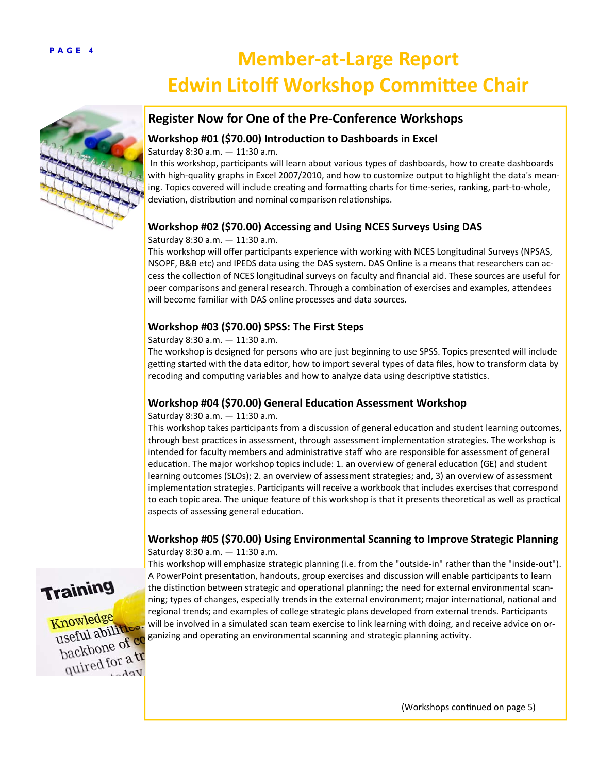## **PAGE 4 Member‐at‐Large Report Edwin Litolff Workshop Committee Chair**



#### **Register Now for One of the Pre‐Conference Workshops**

#### **Workshop #01 (\$70.00) IntroducƟon to Dashboards in Excel**

Saturday 8:30 a.m. — 11:30 a.m.

In this workshop, participants will learn about various types of dashboards, how to create dashboards with high-quality graphs in Excel 2007/2010, and how to customize output to highlight the data's meaning. Topics covered will include creating and formatting charts for time-series, ranking, part-to-whole, deviation, distribution and nominal comparison relationships.

#### **Workshop #02 (\$70.00) Accessing and Using NCES Surveys Using DAS**

#### Saturday 8:30 a.m. — 11:30 a.m.

This workshop will offer participants experience with working with NCES Longitudinal Surveys (NPSAS, NSOPF, B&B etc) and IPEDS data using the DAS system. DAS Online is a means that researchers can access the collection of NCES longitudinal surveys on faculty and financial aid. These sources are useful for peer comparisons and general research. Through a combination of exercises and examples, attendees will become familiar with DAS online processes and data sources.

#### **Workshop #03 (\$70.00) SPSS: The First Steps**

Saturday 8:30 a.m. — 11:30 a.m.

The workshop is designed for persons who are just beginning to use SPSS. Topics presented will include getting started with the data editor, how to import several types of data files, how to transform data by recoding and computing variables and how to analyze data using descriptive statistics.

#### **Workshop #04 (\$70.00) General EducaƟon Assessment Workshop**

#### Saturday 8:30 a.m. — 11:30 a.m.

This workshop takes participants from a discussion of general education and student learning outcomes, through best practices in assessment, through assessment implementation strategies. The workshop is intended for faculty members and administrative staff who are responsible for assessment of general education. The major workshop topics include: 1. an overview of general education (GE) and student learning outcomes (SLOs); 2. an overview of assessment strategies; and, 3) an overview of assessment implementation strategies. Participants will receive a workbook that includes exercises that correspond to each topic area. The unique feature of this workshop is that it presents theoretical as well as practical aspects of assessing general education.

#### **Workshop #05 (\$70.00) Using Environmental Scanning to Improve Strategic Planning** Saturday 8:30 a.m. — 11:30 a.m.



Knowledge useful abilities. useful approve of co packbone<br>quired for a tr

This workshop will emphasize strategic planning (i.e. from the "outside-in" rather than the "inside-out"). A PowerPoint presentation, handouts, group exercises and discussion will enable participants to learn the distinction between strategic and operational planning; the need for external environmental scanning; types of changes, especially trends in the external environment; major international, national and regional trends; and examples of college strategic plans developed from external trends. Participants will be involved in a simulated scan team exercise to link learning with doing, and receive advice on organizing and operating an environmental scanning and strategic planning activity.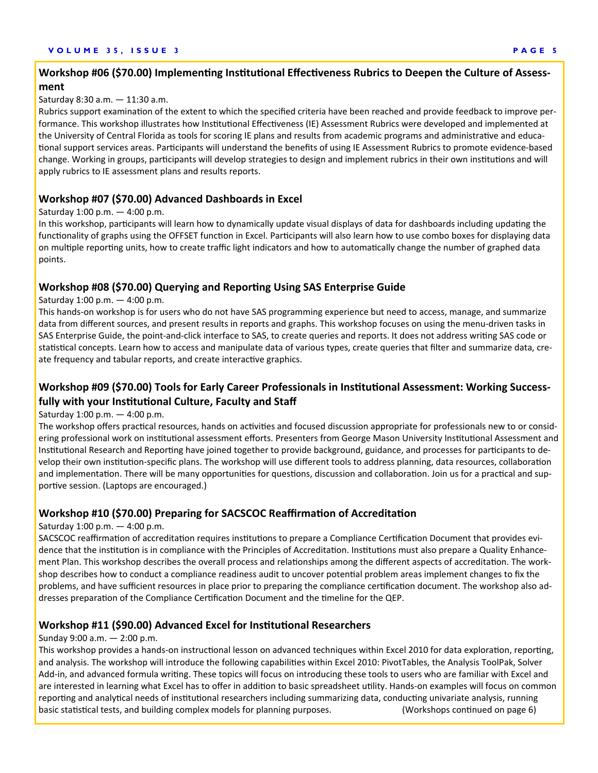#### **VOLUME 35, ISSUE 3 PAGE 5**

#### Workshop #06 (\$70.00) Implementing Institutional Effectiveness Rubrics to Deepen the Culture of Assess**ment**

#### Saturday 8:30 a.m. — 11:30 a.m.

Rubrics support examination of the extent to which the specified criteria have been reached and provide feedback to improve performance. This workshop illustrates how Institutional Effectiveness (IE) Assessment Rubrics were developed and implemented at the University of Central Florida as tools for scoring IE plans and results from academic programs and administrative and educational support services areas. Participants will understand the benefits of using IE Assessment Rubrics to promote evidence-based change. Working in groups, participants will develop strategies to design and implement rubrics in their own institutions and will apply rubrics to IE assessment plans and results reports.

#### **Workshop #07 (\$70.00) Advanced Dashboards in Excel**

#### Saturday 1:00 p.m. — 4:00 p.m.

In this workshop, participants will learn how to dynamically update visual displays of data for dashboards including updating the functionality of graphs using the OFFSET function in Excel. Participants will also learn how to use combo boxes for displaying data on multiple reporting units, how to create traffic light indicators and how to automatically change the number of graphed data points.

#### **Workshop #08 (\$70.00) Querying and ReporƟng Using SAS Enterprise Guide**

Saturday 1:00 p.m. — 4:00 p.m.

This hands-on workshop is for users who do not have SAS programming experience but need to access, manage, and summarize data from different sources, and present results in reports and graphs. This workshop focuses on using the menu-driven tasks in SAS Enterprise Guide, the point-and-click interface to SAS, to create queries and reports. It does not address writing SAS code or statistical concepts. Learn how to access and manipulate data of various types, create queries that filter and summarize data, create frequency and tabular reports, and create interactive graphics.

#### Workshop #09 (\$70.00) Tools for Early Career Professionals in Institutional Assessment: Working Success**fully with your InsƟtuƟonal Culture, Faculty and Staff**

#### Saturday 1:00 p.m. — 4:00 p.m.

The workshop offers practical resources, hands on activities and focused discussion appropriate for professionals new to or considering professional work on institutional assessment efforts. Presenters from George Mason University Institutional Assessment and Institutional Research and Reporting have joined together to provide background, guidance, and processes for participants to develop their own institution-specific plans. The workshop will use different tools to address planning, data resources, collaboration and implementation. There will be many opportunities for questions, discussion and collaboration. Join us for a practical and supportive session. (Laptops are encouraged.)

#### **Workshop #10 (\$70.00) Preparing for SACSCOC ReaffirmaƟon of AccreditaƟon**

#### Saturday 1:00 p.m. — 4:00 p.m.

SACSCOC reaffirmation of accreditation requires institutions to prepare a Compliance Certification Document that provides evidence that the institution is in compliance with the Principles of Accreditation. Institutions must also prepare a Quality Enhancement Plan. This workshop describes the overall process and relationships among the different aspects of accreditation. The workshop describes how to conduct a compliance readiness audit to uncover potential problem areas implement changes to fix the problems, and have sufficient resources in place prior to preparing the compliance certification document. The workshop also addresses preparation of the Compliance Certification Document and the timeline for the QEP.

#### **Workshop #11 (\$90.00) Advanced Excel for InsƟtuƟonal Researchers**

#### Sunday 9:00 a.m. — 2:00 p.m.

This workshop provides a hands-on instructional lesson on advanced techniques within Excel 2010 for data exploration, reporting, and analysis. The workshop will introduce the following capabilities within Excel 2010: PivotTables, the Analysis ToolPak, Solver Add-in, and advanced formula writing. These topics will focus on introducing these tools to users who are familiar with Excel and are interested in learning what Excel has to offer in addition to basic spreadsheet utility. Hands-on examples will focus on common reporting and analytical needs of institutional researchers including summarizing data, conducting univariate analysis, running basic statistical tests, and building complex models for planning purposes. (Workshops continued on page 6)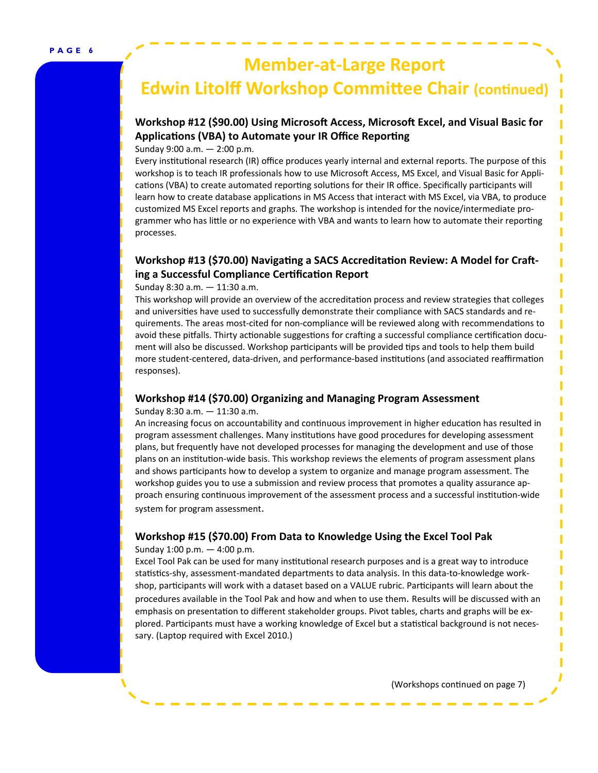## **Member‐at‐Large Report**  *<u>Edwin Litolff Workshop Committee Chair (continued)*</u>

#### **Workshop #12 (\$90.00) Using MicrosoŌ Access, MicrosoŌ Excel, and Visual Basic for ApplicaƟons (VBA) to Automate your IR Office ReporƟng**

Sunday 9:00 a.m. — 2:00 p.m.

Every institutional research (IR) office produces yearly internal and external reports. The purpose of this workshop is to teach IR professionals how to use Microsoft Access, MS Excel, and Visual Basic for Applications (VBA) to create automated reporting solutions for their IR office. Specifically participants will learn how to create database applications in MS Access that interact with MS Excel, via VBA, to produce customized MS Excel reports and graphs. The workshop is intended for the novice/intermediate programmer who has little or no experience with VBA and wants to learn how to automate their reporting processes.

#### **Workshop #13 (\$70.00)** Navigating a SACS Accreditation Review: A Model for Craft**ing a Successful Compliance CerƟficaƟon Report**

Sunday 8:30 a.m. — 11:30 a.m.

This workshop will provide an overview of the accreditation process and review strategies that colleges and universities have used to successfully demonstrate their compliance with SACS standards and requirements. The areas most-cited for non-compliance will be reviewed along with recommendations to avoid these pitfalls. Thirty actionable suggestions for crafting a successful compliance certification document will also be discussed. Workshop participants will be provided tips and tools to help them build more student-centered, data-driven, and performance-based institutions (and associated reaffirmation responses).

#### **Workshop #14 (\$70.00) Organizing and Managing Program Assessment**

Sunday 8:30 a.m. — 11:30 a.m.

An increasing focus on accountability and continuous improvement in higher education has resulted in program assessment challenges. Many institutions have good procedures for developing assessment plans, but frequently have not developed processes for managing the development and use of those plans on an institution-wide basis. This workshop reviews the elements of program assessment plans and shows participants how to develop a system to organize and manage program assessment. The workshop guides you to use a submission and review process that promotes a quality assurance approach ensuring continuous improvement of the assessment process and a successful institution-wide system for program assessment.

#### **Workshop #15 (\$70.00) From Data to Knowledge Using the Excel Tool Pak**

Sunday 1:00 p.m. — 4:00 p.m.

Excel Tool Pak can be used for many institutional research purposes and is a great way to introduce statistics-shy, assessment-mandated departments to data analysis. In this data-to-knowledge workshop, participants will work with a dataset based on a VALUE rubric. Participants will learn about the procedures available in the Tool Pak and how and when to use them. Results will be discussed with an emphasis on presentation to different stakeholder groups. Pivot tables, charts and graphs will be explored. Participants must have a working knowledge of Excel but a statistical background is not necessary. (Laptop required with Excel 2010.)

(Workshops continued on page 7)

ı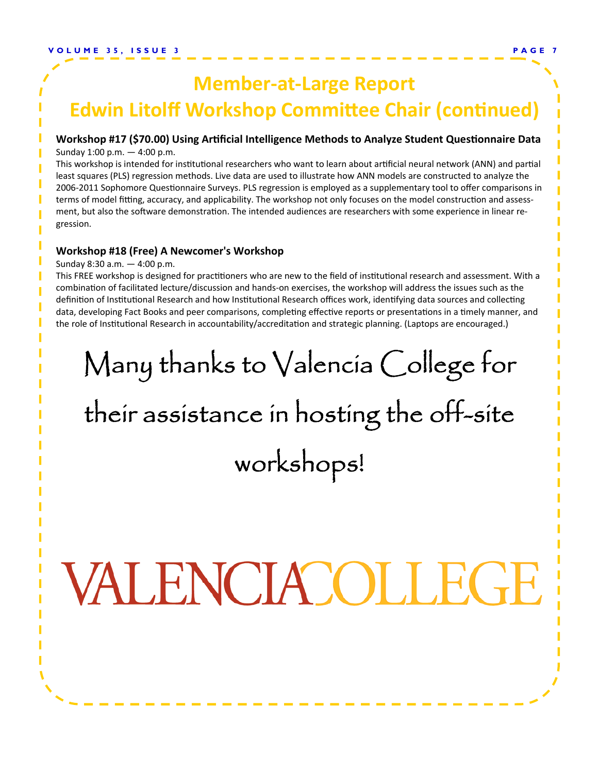## **Member‐at‐Large Report Edwin Litolff Workshop Committee Chair (continued)**

### **Workshop #17 (\$70.00) Using ArƟficial Intelligence Methods to Analyze Student QuesƟonnaire Data**

Sunday 1:00 p.m. — 4:00 p.m.

This workshop is intended for institutional researchers who want to learn about artificial neural network (ANN) and partial least squares (PLS) regression methods. Live data are used to illustrate how ANN models are constructed to analyze the 2006-2011 Sophomore Questionnaire Surveys. PLS regression is employed as a supplementary tool to offer comparisons in terms of model fitting, accuracy, and applicability. The workshop not only focuses on the model construction and assessment, but also the software demonstration. The intended audiences are researchers with some experience in linear regression.

#### **Workshop #18 (Free) A Newcomer's Workshop**

Sunday 8:30 a.m. — 4:00 p.m.

This FREE workshop is designed for practitioners who are new to the field of institutional research and assessment. With a combination of facilitated lecture/discussion and hands-on exercises, the workshop will address the issues such as the definition of Institutional Research and how Institutional Research offices work, identifying data sources and collecting data, developing Fact Books and peer comparisons, completing effective reports or presentations in a timely manner, and the role of Institutional Research in accountability/accreditation and strategic planning. (Laptops are encouraged.)

## Many thanks to Valencia College for

## their assistance in hosting the off-site workshops!

# VALENCIACOLLEGE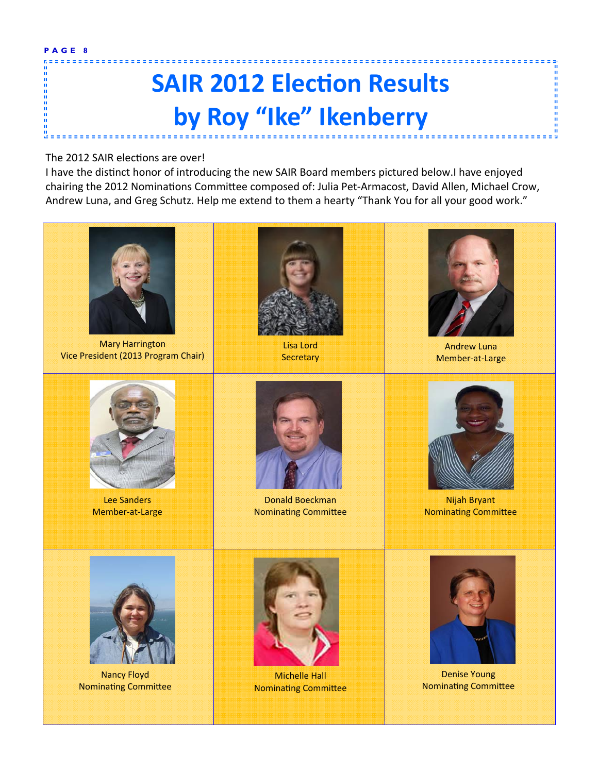**PAGE 8**  ------

1111

## **SAIR 2012 ElecƟon Results by Roy "Ike" Ikenberry**

#### The 2012 SAIR elections are over!

I have the distinct honor of introducing the new SAIR Board members pictured below.I have enjoyed chairing the 2012 Nominations Committee composed of: Julia Pet-Armacost, David Allen, Michael Crow, Andrew Luna, and Greg Schutz. Help me extend to them a hearty "Thank You for all your good work."



Mary Harrington Vice President (2013 Program Chair)



Lee Sanders Member-at-Large



Lisa Lord **Secretary** 



Donald Boeckman **Nominating Committee** 



Andrew Luna Member-at-Large



Nijah Bryant **Nominating Committee** 



Nancy Floyd **Nominating Committee** 



Michelle Hall **Nominating Committee** 



Denise Young Nominating Committee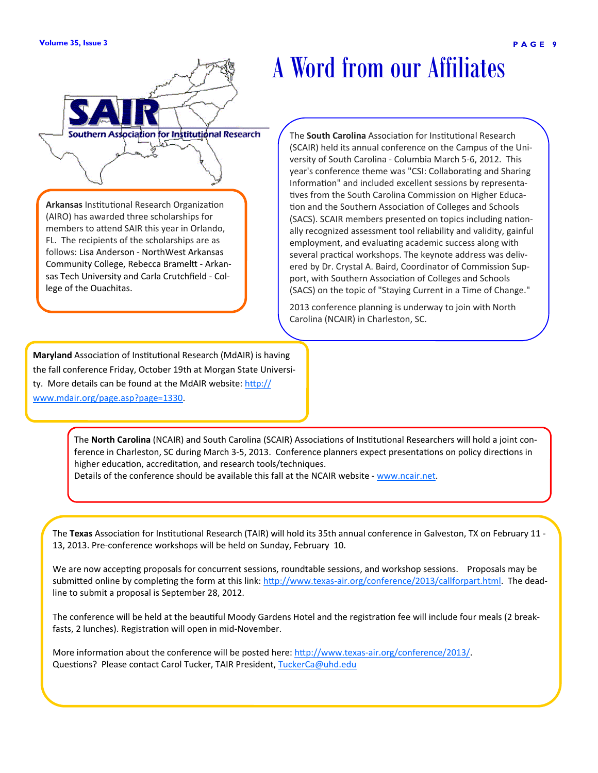



**Arkansas** Institutional Research Organization (AIRO) has awarded three scholarships for members to attend SAIR this year in Orlando, FL. The recipients of the scholarships are as follows: Lisa Anderson - NorthWest Arkansas Community College, Rebecca Brameltt - Arkansas Tech University and Carla Crutchfield - Col-

lege of the Ouachitas.

## A Word from our Affiliates

**The South Carolina** Association for Institutional Research (SCAIR) held its annual conference on the Campus of the University of South Carolina - Columbia March 5-6, 2012. This year's conference theme was "CSI: Collaborating and Sharing Information" and included excellent sessions by representatives from the South Carolina Commission on Higher Education and the Southern Association of Colleges and Schools (SACS). SCAIR members presented on topics including nationally recognized assessment tool reliability and validity, gainful employment, and evaluating academic success along with several practical workshops. The keynote address was delivered by Dr. Crystal A. Baird, Coordinator of Commission Support, with Southern Association of Colleges and Schools (SACS) on the topic of "Staying Current in a Time of Change."

2013 conference planning is underway to join with North Carolina (NCAIR) in Charleston, SC.

**Maryland** Association of Institutional Research (MdAIR) is having the fall conference Friday, October 19th at Morgan State University. More details can be found at the MdAIR website: http:// www.mdair.org/page.asp?page=1330.

> The **North Carolina** (NCAIR) and South Carolina (SCAIR) Associations of Institutional Researchers will hold a joint conference in Charleston, SC during March 3-5, 2013. Conference planners expect presentations on policy directions in higher education, accreditation, and research tools/techniques.

Details of the conference should be available this fall at the NCAIR website - www.ncair.net.

The Texas Association for Institutional Research (TAIR) will hold its 35th annual conference in Galveston, TX on February 11 -13, 2013. Pre-conference workshops will be held on Sunday, February 10.

We are now accepting proposals for concurrent sessions, roundtable sessions, and workshop sessions. Proposals may be submitted online by completing the form at this link: http://www.texas-air.org/conference/2013/callforpart.html. The deadline to submit a proposal is September 28, 2012.

The conference will be held at the beautiful Moody Gardens Hotel and the registration fee will include four meals (2 breakfasts, 2 lunches). Registration will open in mid-November.

More information about the conference will be posted here: http://www.texas-air.org/conference/2013/. Questions? Please contact Carol Tucker, TAIR President, TuckerCa@uhd.edu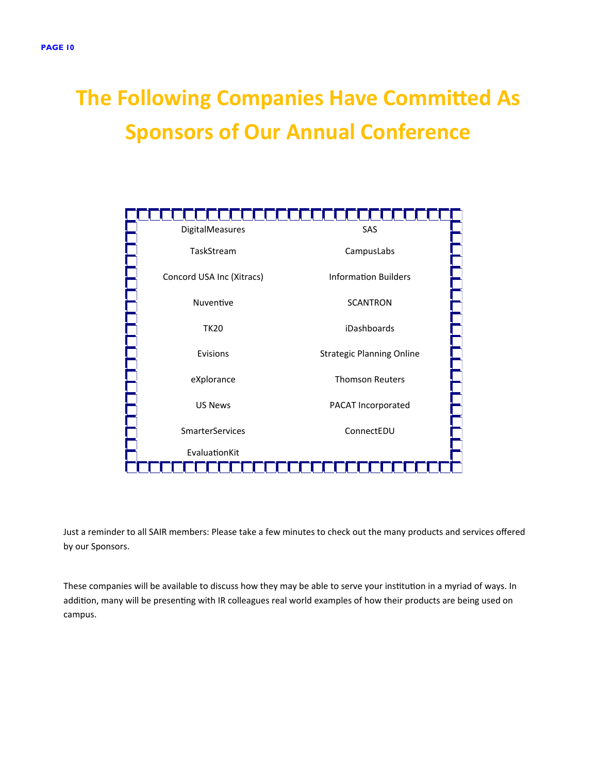## **The Following Companies Have Committed As Sponsors of Our Annual Conference**



Just a reminder to all SAIR members: Please take a few minutes to check out the many products and services offered by our Sponsors.

These companies will be available to discuss how they may be able to serve your institution in a myriad of ways. In addition, many will be presenting with IR colleagues real world examples of how their products are being used on campus.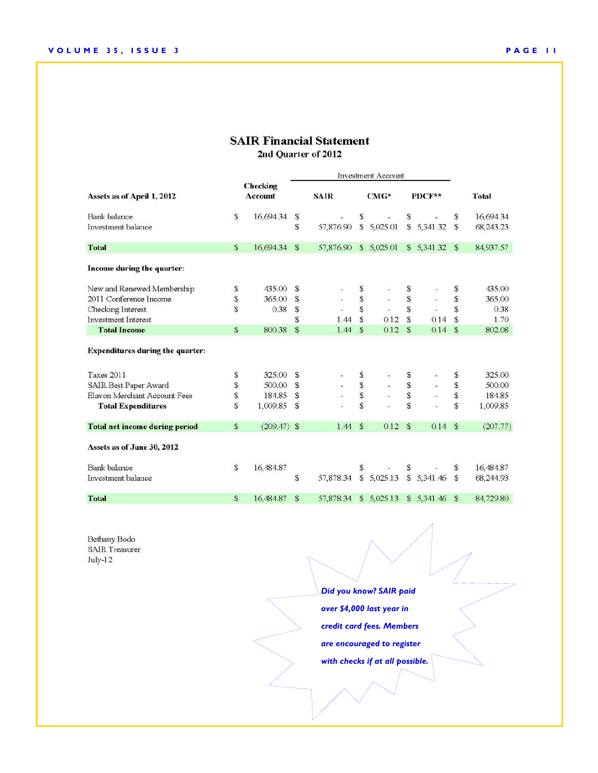#### **SAIR Financial Statement** 2nd Quarter of 2012

|                                         |                     |               | <b>Investment Account</b> |           |             |                |               |            |               |              |
|-----------------------------------------|---------------------|---------------|---------------------------|-----------|-------------|----------------|---------------|------------|---------------|--------------|
| Assets as of April 1, 2012              | Checking<br>Account |               | <b>SAIR</b>               |           | $CMG*$      |                | PDCF**        |            |               | <b>Total</b> |
| <b>Bank</b> balance                     | \$                  | 16,694.34     | \$                        |           | S           |                | \$            |            | S.            | 16,694.34    |
| Investment balance                      |                     |               | \$                        | 57,876.90 |             | \$5,025.01     |               | \$5,341.32 | <sup>S</sup>  | 68,243.23    |
| <b>Total</b>                            | \$                  | 16,694.34     | $\mathbf{s}$              | 57,876.90 |             | \$5,025.01     |               | \$5,341.32 | $\mathbf{s}$  | 84,937.57    |
| Income during the quarter:              |                     |               |                           |           |             |                |               |            |               |              |
| New and Renewed Membership              | \$                  | 435.00        | S                         |           | S           |                | \$            |            | s             | 435.00       |
| 2011 Conference Income                  | \$                  | 365.00        | \$                        |           | \$          |                | \$            |            | \$            | 365.00       |
| Checking Interest                       | \$                  | 0.38          | \$                        |           | S           | $\blacksquare$ | \$            | ÷          | \$            | 0.38         |
| <b>Investment Interest</b>              |                     |               | \$                        | 1.44      | S           | 0.12           | \$            | 0.14       | S             | 1.70         |
| <b>Total Income</b>                     | $\mathbf{s}$        | 800.38        | \$                        | 1.44      | S           | 0.12           | $\mathbf{s}$  | 0.14       | \$            | 802.08       |
| <b>Expenditures during the quarter:</b> |                     |               |                           |           |             |                |               |            |               |              |
| Taxes 2011                              | \$                  | 325.00        | \$                        |           |             |                | \$            |            | \$            | 325.00       |
| SAIR Best Paper Award                   | \$                  | 500.00        | \$                        | Ω         | s<br>s<br>s | ú,             |               | ¥          | $\$$          | 500.00       |
| Elavon Merchant Account Fees            | \$                  | 184.85        | \$                        |           |             |                | \$            |            | \$            | 184.85       |
| <b>Total Expenditures</b>               | S                   | 1,009.85      | <sup>\$</sup>             |           | S           |                | \$            |            | S             | 1,009.85     |
| <b>Total net income during period</b>   | $\mathbb{S}$        | $(209.47)$ \$ |                           | 1.44      | S           | 0.12           | $\mathcal{S}$ | 0.14       | $\mathcal{S}$ | (207.77)     |
| Assets as of June 30, 2012              |                     |               |                           |           |             |                |               |            |               |              |
| <b>Bank</b> balance                     | S                   | 16,484.87     |                           |           | S           |                | S             |            | S             | 16,484.87    |
| Investment balance                      |                     |               | \$                        | 57,878.34 |             | \$5,025.13     |               | \$5,341.46 | \$            | 68,244.93    |
| <b>Total</b>                            | \$                  | 16,484.87     | $\mathcal{S}$             | 57,878.34 |             | \$5,025.13     |               | \$5,341.46 | \$S           | 84,729.80    |

Bethany Bodo SAIR Treasurer July-12

*Did you know? SAIR paid over \$4,000 last year in credit card fees. Members are encouraged to register with checks if at all possible.*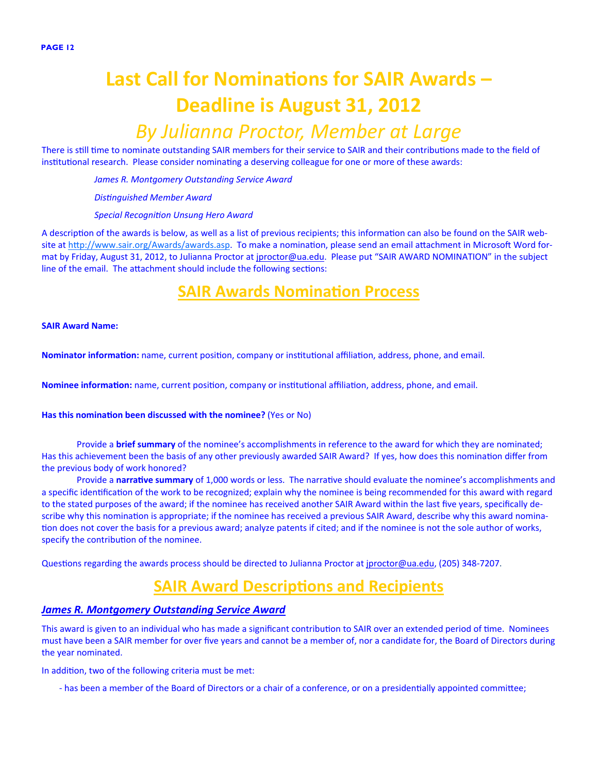## **Last Call for NominaƟons for SAIR Awards – Deadline is August 31, 2012**

### *By Julianna Proctor, Member at Large*

There is still time to nominate outstanding SAIR members for their service to SAIR and their contributions made to the field of institutional research. Please consider nominating a deserving colleague for one or more of these awards:

*James R. Montgomery Outstanding Service Award*

*DisƟnguished Member Award*

*Special RecogniƟon Unsung Hero Award*

A description of the awards is below, as well as a list of previous recipients; this information can also be found on the SAIR website at http://www.sair.org/Awards/awards.asp. To make a nomination, please send an email attachment in Microsoft Word format by Friday, August 31, 2012, to Julianna Proctor at jproctor@ua.edu. Please put "SAIR AWARD NOMINATION" in the subject line of the email. The attachment should include the following sections:

### **SAIR Awards NominaƟon Process**

**SAIR Award Name:**

**Nominator information:** name, current position, company or institutional affiliation, address, phone, and email.

**Nominee information:** name, current position, company or institutional affiliation, address, phone, and email.

#### **Has this nomination been discussed with the nominee?** (Yes or No)

Provide a **brief summary** of the nominee's accomplishments in reference to the award for which they are nominated; Has this achievement been the basis of any other previously awarded SAIR Award? If yes, how does this nomination differ from the previous body of work honored?

Provide a narrative summary of 1,000 words or less. The narrative should evaluate the nominee's accomplishments and a specific identification of the work to be recognized; explain why the nominee is being recommended for this award with regard to the stated purposes of the award; if the nominee has received another SAIR Award within the last five years, specifically describe why this nomination is appropriate; if the nominee has received a previous SAIR Award, describe why this award nomination does not cover the basis for a previous award; analyze patents if cited; and if the nominee is not the sole author of works, specify the contribution of the nominee.

Questions regarding the awards process should be directed to Julianna Proctor at jproctor@ua.edu, (205) 348-7207.

### **SAIR Award Descriptions and Recipients**

#### *James R. Montgomery Outstanding Service Award*

This award is given to an individual who has made a significant contribution to SAIR over an extended period of time. Nominees must have been a SAIR member for over five years and cannot be a member of, nor a candidate for, the Board of Directors during the year nominated.

In addition, two of the following criteria must be met:

- has been a member of the Board of Directors or a chair of a conference, or on a presidentially appointed committee;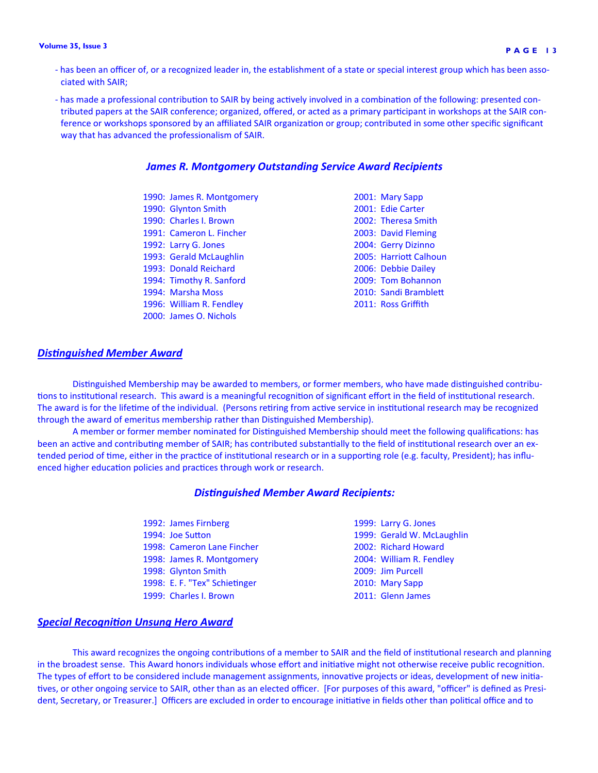#### **Volume 35, Issue 3 PAGE 13**

- has been an officer of, or a recognized leader in, the establishment of a state or special interest group which has been associated with SAIR;
- has made a professional contribution to SAIR by being actively involved in a combination of the following: presented contributed papers at the SAIR conference; organized, offered, or acted as a primary participant in workshops at the SAIR conference or workshops sponsored by an affiliated SAIR organization or group; contributed in some other specific significant way that has advanced the professionalism of SAIR.

#### *James R. Montgomery Outstanding Service Award Recipients*

1990: James R. Montgomery 2001: Mary Sapp 1990: Glynton Smith 2001: Edie Carter 1990: Charles I. Brown 2002: Theresa Smith 1991: Cameron L. Fincher 2003: David Fleming 1992: Larry G. Jones 2004: Gerry Dizinno 1993: Gerald McLaughlin 2005: Harriott Calhoun 1993: Donald Reichard 2006: Debbie Dailey 1994: Timothy R. Sanford 2009: Tom Bohannon 1994: Marsha Moss 2010: Sandi BrambleƩ 1996: William R. Fendley 2011: Ross Griffith 2000: James O. Nichols

#### *DisƟnguished Member Award*

Distinguished Membership may be awarded to members, or former members, who have made distinguished contributions to institutional research. This award is a meaningful recognition of significant effort in the field of institutional research. The award is for the lifetime of the individual. (Persons retiring from active service in institutional research may be recognized through the award of emeritus membership rather than Distinguished Membership).

A member or former member nominated for Distinguished Membership should meet the following qualifications: has been an active and contributing member of SAIR; has contributed substantially to the field of institutional research over an extended period of time, either in the practice of institutional research or in a supporting role (e.g. faculty, President); has influenced higher education policies and practices through work or research.

#### *DisƟnguished Member Award Recipients:*

| 1992: James Firnberg          | 1999: Larry G. Jones       |
|-------------------------------|----------------------------|
| 1994: Joe Sutton              | 1999: Gerald W. McLaughlin |
| 1998: Cameron Lane Fincher    | 2002: Richard Howard       |
| 1998: James R. Montgomery     | 2004: William R. Fendley   |
| 1998: Glynton Smith           | 2009: Jim Purcell          |
| 1998: E. F. "Tex" Schietinger | 2010: Mary Sapp            |
| 1999: Charles I. Brown        | 2011: Glenn James          |

#### *Special RecogniƟon Unsung Hero Award*

This award recognizes the ongoing contributions of a member to SAIR and the field of institutional research and planning in the broadest sense. This Award honors individuals whose effort and initiative might not otherwise receive public recognition. The types of effort to be considered include management assignments, innovative projects or ideas, development of new initiatives, or other ongoing service to SAIR, other than as an elected officer. [For purposes of this award, "officer" is defined as President, Secretary, or Treasurer.] Officers are excluded in order to encourage initiative in fields other than political office and to